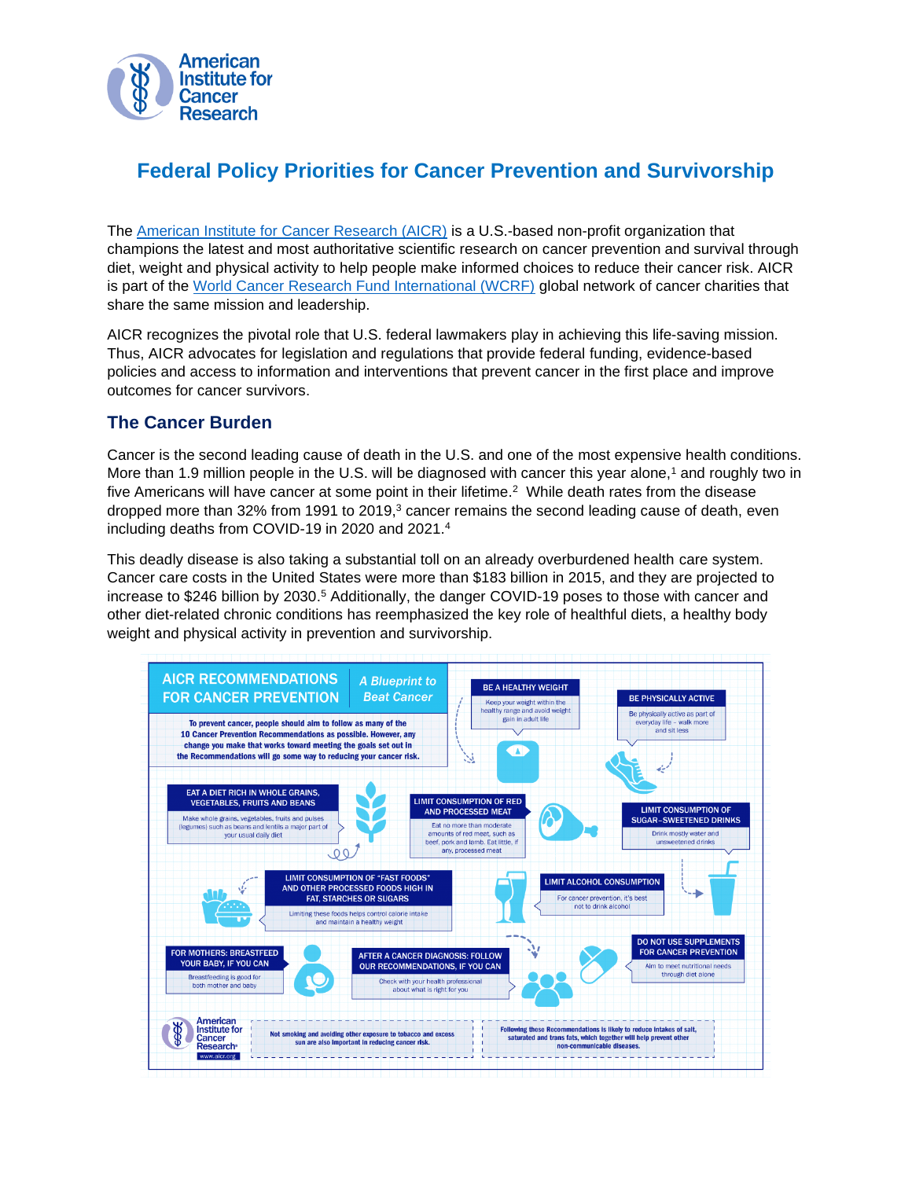

# **Federal Policy Priorities for Cancer Prevention and Survivorship**

The [American Institute for Cancer Research \(AICR\)](http://www.aicr.org/) is a U.S.-based non-profit organization that champions the latest and most authoritative scientific research on cancer prevention and survival through diet, weight and physical activity to help people make informed choices to reduce their cancer risk. AICR is part of the World Cancer [Research Fund International \(WCRF\)](https://www.wcrf.org/) global network of cancer charities that share the same mission and leadership.

AICR recognizes the pivotal role that U.S. federal lawmakers play in achieving this life-saving mission. Thus, AICR advocates for legislation and regulations that provide federal funding, evidence-based policies and access to information and interventions that prevent cancer in the first place and improve outcomes for cancer survivors.

# **The Cancer Burden**

Cancer is the second leading cause of death in the U.S. and one of the most expensive health conditions. More than 1.9 million people in the U.S. will be diagnosed with cancer this year alone,<sup>1</sup> and roughly two in five Americans will have cancer at some point in their lifetime. <sup>2</sup> While death rates from the disease dropped more than 32% from 1991 to 2019, <sup>3</sup> cancer remains the second leading cause of death, even including deaths from COVID-19 in 2020 and 2021. 4

This deadly disease is also taking a substantial toll on an already overburdened health care system. Cancer care costs in the United States were more than \$183 billion in 2015, and they are projected to increase to \$246 billion by 2030.<sup>5</sup> Additionally, the danger COVID-19 poses to those with cancer and other diet-related chronic conditions has reemphasized the key role of healthful diets, a healthy body weight and physical activity in prevention and survivorship.

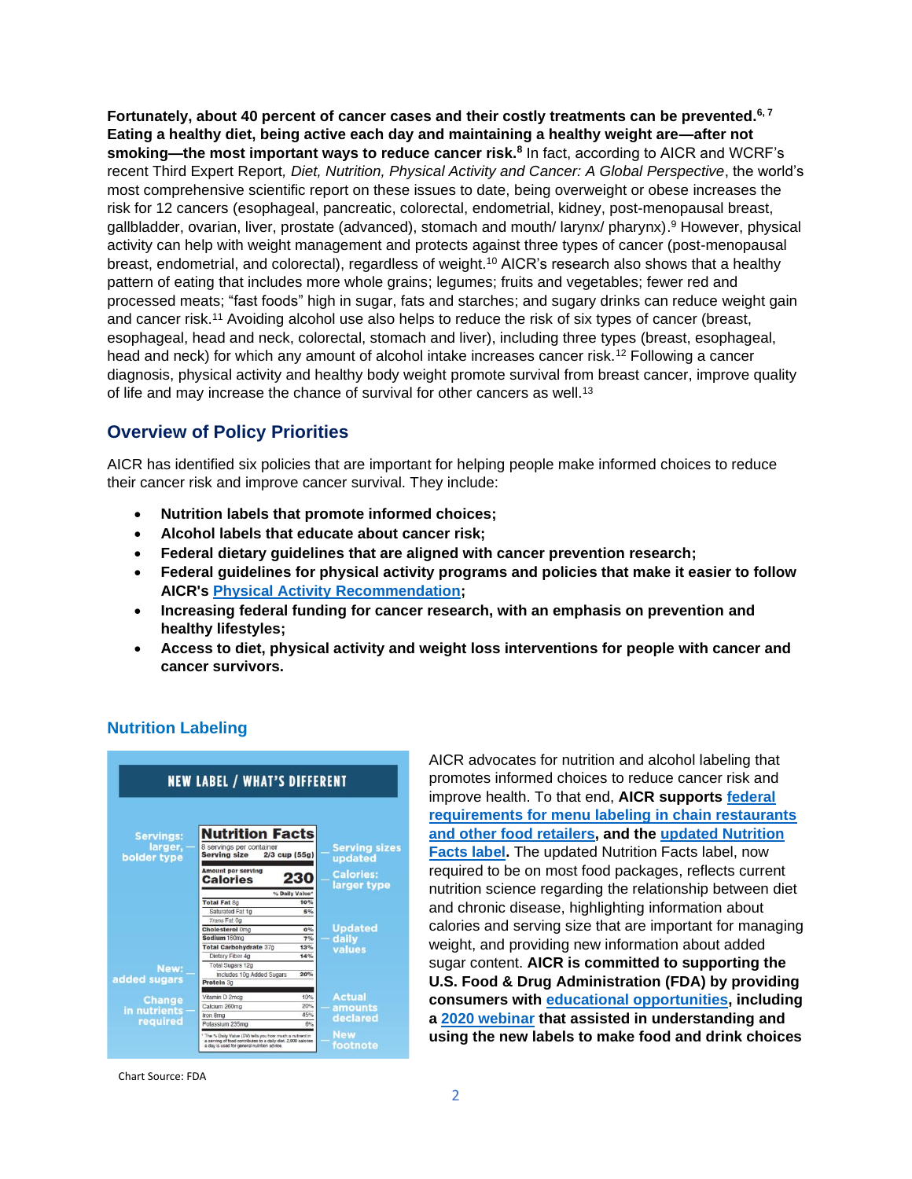**Fortunately, about 40 percent of cancer cases and their costly treatments can be prevented. 6, 7 Eating a healthy diet, being active each day and maintaining a healthy weight are—after not smoking—the most important ways to reduce cancer risk.<sup>8</sup>** In fact, according to AICR and WCRF's recent Third Expert Report*, Diet, Nutrition, Physical Activity and Cancer: A Global Perspective*, the world's most comprehensive scientific report on these issues to date, being overweight or obese increases the risk for 12 cancers (esophageal, pancreatic, colorectal, endometrial, kidney, post-menopausal breast, gallbladder, ovarian, liver, prostate (advanced), stomach and mouth/ larynx/ pharynx). <sup>9</sup> However, physical activity can help with weight management and protects against three types of cancer (post-menopausal breast, endometrial, and colorectal), regardless of weight. <sup>10</sup> AICR's research also shows that a healthy pattern of eating that includes more whole grains; legumes; fruits and vegetables; fewer red and processed meats; "fast foods" high in sugar, fats and starches; and sugary drinks can reduce weight gain and cancer risk.<sup>11</sup> Avoiding alcohol use also helps to reduce the risk of six types of cancer (breast, esophageal, head and neck, colorectal, stomach and liver), including three types (breast, esophageal, head and neck) for which any amount of alcohol intake increases cancer risk.<sup>12</sup> Following a cancer diagnosis, physical activity and healthy body weight promote survival from breast cancer, improve quality of life and may increase the chance of survival for other cancers as well.<sup>13</sup>

# **Overview of Policy Priorities**

AICR has identified six policies that are important for helping people make informed choices to reduce their cancer risk and improve cancer survival. They include:

- **Nutrition labels that promote informed choices;**
- **Alcohol labels that educate about cancer risk;**
- **Federal dietary guidelines that are aligned with cancer prevention research;**
- **Federal guidelines for physical activity programs and policies that make it easier to follow AICR's [Physical Activity Recommendation;](https://www.aicr.org/cancer-prevention/recommendations/be-physically-active/)**
- **Increasing federal funding for cancer research, with an emphasis on prevention and healthy lifestyles;**
- **Access to diet, physical activity and weight loss interventions for people with cancer and cancer survivors.**

|                             | <b>NEW LABEL / WHAT'S DIFFERENT</b>                                                                                                                                        |                                       |  |
|-----------------------------|----------------------------------------------------------------------------------------------------------------------------------------------------------------------------|---------------------------------------|--|
| <b>Servings:</b><br>larger, | <b>Nutrition Facts</b><br>8 servings per container                                                                                                                         | <b>Serving sizes</b>                  |  |
| bolder type                 | <b>Serving size</b>                                                                                                                                                        | $2/3$ cup (55g)<br>updated            |  |
|                             | <b>Amount per serving</b><br><b>Calories</b>                                                                                                                               | <b>Calories:</b><br>23<br>larger type |  |
|                             |                                                                                                                                                                            | % Daily Value*                        |  |
|                             | <b>Total Fat 8g</b>                                                                                                                                                        | 10%                                   |  |
|                             | Saturated Fat 1g                                                                                                                                                           | 5%                                    |  |
|                             | Trans Fat 0g<br><b>Cholesterol Oma</b>                                                                                                                                     | <b>Updated</b><br>0%                  |  |
|                             | Sodium 160mg                                                                                                                                                               | daily<br>7%                           |  |
|                             | <b>Total Carbohydrate 37g</b>                                                                                                                                              | 13%                                   |  |
|                             | Dietary Fiber 4g                                                                                                                                                           | values<br>14%                         |  |
| New:                        | <b>Total Sugars 12g</b>                                                                                                                                                    |                                       |  |
| added sugars                | Includes 10g Added Sugars                                                                                                                                                  | 20%                                   |  |
|                             | Protein 3g                                                                                                                                                                 |                                       |  |
|                             | Vitamin D 2mcg                                                                                                                                                             | <b>Actual</b><br>10%                  |  |
| <b>Change</b>               | Calcium 260mg                                                                                                                                                              | 20%<br>amounts                        |  |
| in nutrients                | Iron 8mg                                                                                                                                                                   | 45%<br>declared                       |  |
| required                    | Potassium 235mg                                                                                                                                                            | 6%                                    |  |
|                             | " The % Daily Value (DV) tells you how much a nutrient in<br>a serving of food contributes to a daily diet. 2,000 calories.<br>a day is used for general nutrition advice. | <b>New</b><br>footnote                |  |

**Nutrition Labeling**

AICR advocates for nutrition and alcohol labeling that promotes informed choices to reduce cancer risk and improve health. To that end, **AICR supports [federal](https://www.fda.gov/Food/GuidanceRegulation/GuidanceDocumentsRegulatoryInformation/LabelingNutrition/ucm515020.htm)  [requirements for menu labeling in chain restaurants](https://www.fda.gov/Food/GuidanceRegulation/GuidanceDocumentsRegulatoryInformation/LabelingNutrition/ucm515020.htm)  [and other food retailers,](https://www.fda.gov/Food/GuidanceRegulation/GuidanceDocumentsRegulatoryInformation/LabelingNutrition/ucm515020.htm) and the [updated Nutrition](https://www.aicr.org/nutrition-facts/)  [Facts label.](https://www.aicr.org/nutrition-facts/)** The updated Nutrition Facts label, now required to be on most food packages, reflects current nutrition science regarding the relationship between diet and chronic disease, highlighting information about calories and serving size that are important for managing weight, and providing new information about added sugar content. **AICR is committed to supporting the U.S. Food & Drug Administration (FDA) by providing consumers with [educational opportunities,](https://www.aicr.org/resources/media-library/) including a [2020 webinar](https://www.youtube.com/watch?v=Ejls_BLeVe4&t=9s) that assisted in understanding and using the new labels to make food and drink choices** 

Chart Source: FDA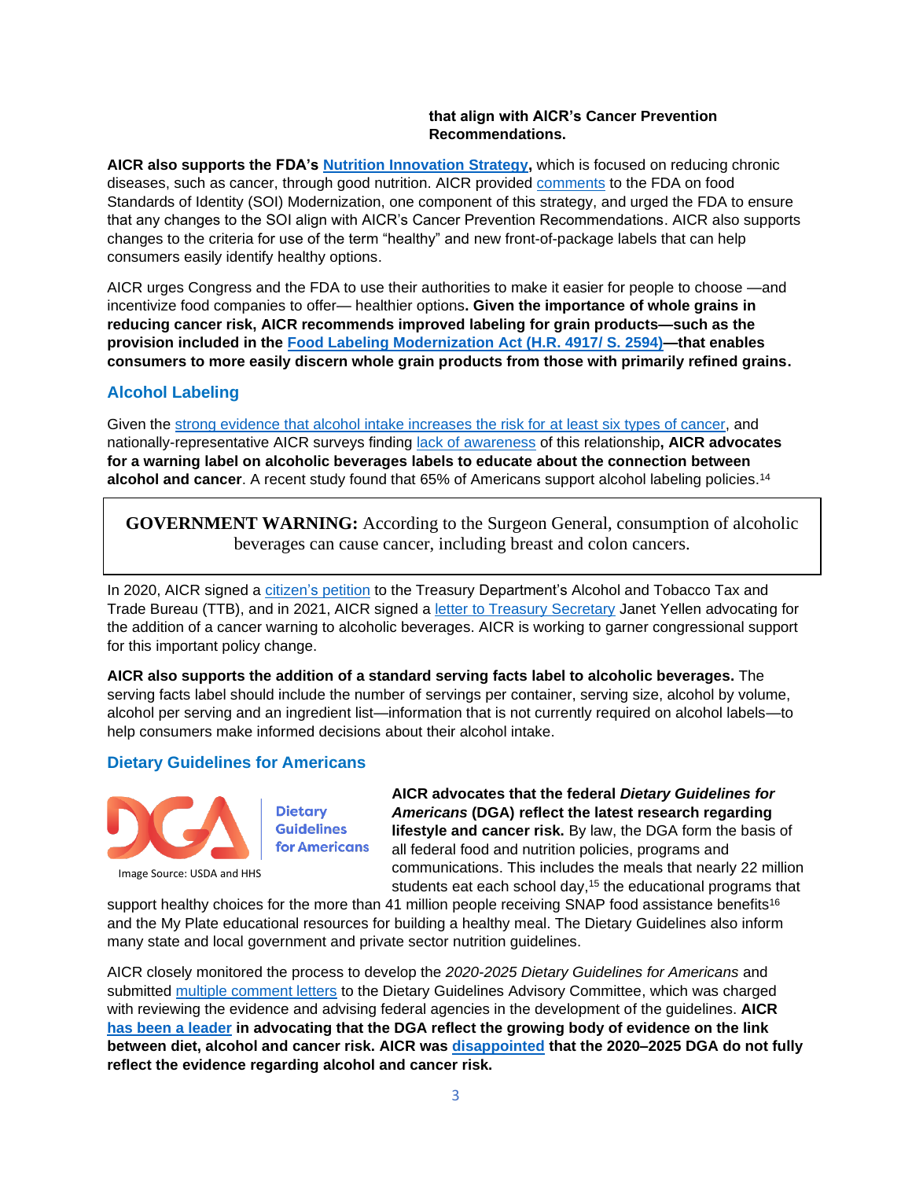#### **that align with AICR's Cancer Prevention Recommendations.**

**AICR also supports the FDA's [Nutrition Innovation Strategy,](https://www.fda.gov/food/food-labeling-nutrition/fda-nutrition-innovation-strategy)** which is focused on reducing chronic diseases, such as cancer, through good nutrition. AICR provided [comments](https://www.aicr.org/wp-content/uploads/2020/08/AICR-FDA-SOI-Principles-Comments_FINAL-7-17-20.pdf) to the FDA on food Standards of Identity (SOI) Modernization, one component of this strategy, and urged the FDA to ensure that any changes to the SOI align with AICR's Cancer Prevention Recommendations. AICR also supports changes to the criteria for use of the term "healthy" and new front-of-package labels that can help consumers easily identify healthy options.

AICR urges Congress and the FDA to use their authorities to make it easier for people to choose —and incentivize food companies to offer— healthier options**. Given the importance of whole grains in reducing cancer risk, AICR recommends improved labeling for grain products—such as the provision included in the [Food Labeling Modernization Act \(H.R. 4917/ S. 2594\)—](https://www.congress.gov/bill/117th-congress/house-bill/4917?q=%7B%22search%22%3A%5B%22food+labeling+modernization+act%22%2C%22food%22%2C%22labeling%22%2C%22modernization%22%2C%22act%22%5D%7D&s=3&r=1)that enables consumers to more easily discern whole grain products from those with primarily refined grains.** 

# **Alcohol Labeling**

Given the [strong evidence that alcohol intake increases the risk for at least six](https://www.aicr.org/research/the-continuous-update-project/alcoholic-drinks/) types of cancer, and nationally-representative AICR surveys finding [lack of awareness](https://www.aicr.org/news/survey-finds-alarming-gaps-in-americans-knowledge-of-major-cancer-risk-factors/) of this relationship**, AICR advocates for a warning label on alcoholic beverages labels to educate about the connection between alcohol and cancer**. A recent study found that 65% of Americans support alcohol labeling policies. 14

**GOVERNMENT WARNING:** According to the Surgeon General, consumption of alcoholic beverages can cause cancer, including breast and colon cancers.

In 2020, AICR signed a [citizen's](https://consumerfed.org/wp-content/uploads/2020/10/Citizen-petition-re-alcohol-cancer-warning.pdf) petition to the Treasury Department's Alcohol and Tobacco Tax and Trade Bureau (TTB), and in 2021, AICR signed a [letter to Treasury Secretary](https://www.cspinet.org/sites/default/files/attachment/Letter%20requesting%20leadership%20on%20improving%20alcohol%20labeling%20to%20protect%20public%20health.pdf) Janet Yellen advocating for the addition of a cancer warning to alcoholic beverages. AICR is working to garner congressional support for this important policy change.

**AICR also supports the addition of a standard serving facts label to alcoholic beverages.** The serving facts label should include the number of servings per container, serving size, alcohol by volume, alcohol per serving and an ingredient list—information that is not currently required on alcohol labels—to help consumers make informed decisions about their alcohol intake.

## **Dietary Guidelines for Americans**



**Dietary Guidelines for Americans** 

**AICR advocates that the federal** *Dietary Guidelines for Americans* **(DGA) reflect the latest research regarding lifestyle and cancer risk.** By law, the DGA form the basis of all federal food and nutrition policies, programs and communications. This includes the meals that nearly 22 million students eat each school day,<sup>15</sup> the educational programs that

support healthy choices for the more than 41 million people receiving SNAP food assistance benefits<sup>16</sup> and the My Plate educational resources for building a healthy meal. The Dietary Guidelines also inform many state and local government and private sector nutrition guidelines.

AICR closely monitored the process to develop the *2020-2025 Dietary Guidelines for Americans* and submitted [multiple comment letters](https://www.aicr.org/wp-content/uploads/2019/11/AICR_Comments_to_DGAC2.pdf) to the Dietary Guidelines Advisory Committee, which was charged with reviewing the evidence and advising federal agencies in the development of the guidelines. **AICR [has been a leader](https://www.aicr.org/wp-content/uploads/2019/11/AICR_DGAC_Comments1.pdf) in advocating that the DGA reflect the growing body of evidence on the link between diet, alcohol and cancer risk. AICR was [disappointed](https://www.aicr.org/news/new-dietary-guidelines-for-americans-ignore-critical-evidence-on-alcohol-and-cancer/) that the 2020–2025 DGA do not fully reflect the evidence regarding alcohol and cancer risk.**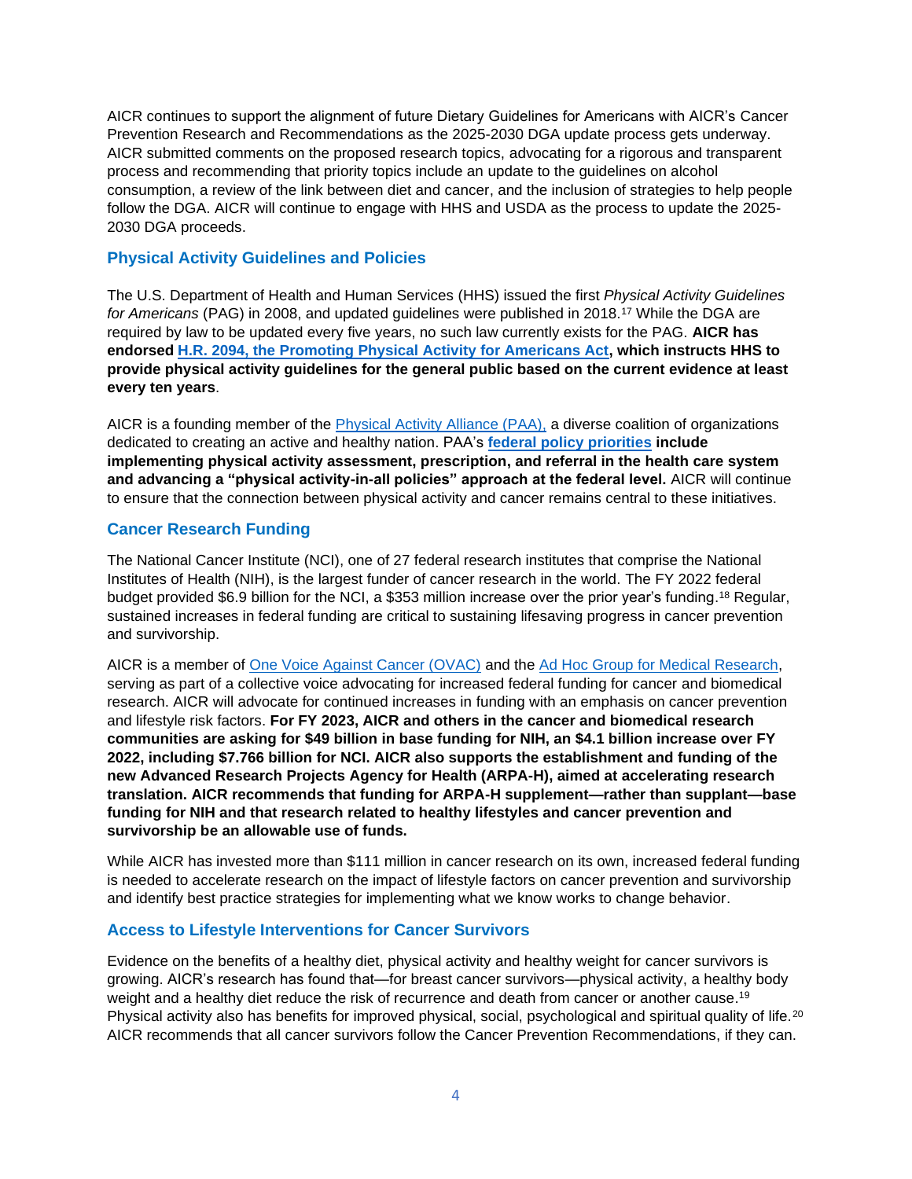AICR continues to support the alignment of future Dietary Guidelines for Americans with AICR's Cancer Prevention Research and Recommendations as the 2025-2030 DGA update process gets underway. AICR submitted comments on the proposed research topics, advocating for a rigorous and transparent process and recommending that priority topics include an update to the guidelines on alcohol consumption, a review of the link between diet and cancer, and the inclusion of strategies to help people follow the DGA. AICR will continue to engage with HHS and USDA as the process to update the 2025- 2030 DGA proceeds.

### **Physical Activity Guidelines and Policies**

The U.S. Department of Health and Human Services (HHS) issued the first *Physical Activity Guidelines*  for Americans (PAG) in 2008, and updated quidelines were published in 2018.<sup>17</sup> While the DGA are required by law to be updated every five years, no such law currently exists for the PAG. **AICR has endorsed [H.R. 2094, the Promoting Physical Activity for Americans Act,](https://www.congress.gov/bill/117th-congress/house-bill/2094?q=%7B%22search%22%3A%5B%22hr+2094%22%2C%22hr%22%2C%222094%22%5D%7D&s=1&r=1) which instructs HHS to provide physical activity guidelines for the general public based on the current evidence at least every ten years**.

AICR is a founding member of the [Physical Activity Alliance \(PAA\),](https://paamovewithus.org/) a diverse coalition of organizations dedicated to creating an active and healthy nation. PAA's **[federal policy priorities](https://paamovewithus.org/strategic-policy-priorities/) include implementing physical activity assessment, prescription, and referral in the health care system and advancing a "physical activity-in-all policies" approach at the federal level.** AICR will continue to ensure that the connection between physical activity and cancer remains central to these initiatives.

#### **Cancer Research Funding**

The National Cancer Institute (NCI), one of 27 federal research institutes that comprise the National Institutes of Health (NIH), is the largest funder of cancer research in the world. The FY 2022 federal budget provided \$6.9 billion for the NCI, a \$353 million increase over the prior year's funding.<sup>18</sup> Regular, sustained increases in federal funding are critical to sustaining lifesaving progress in cancer prevention and survivorship.

AICR is a member of [One Voice Against Cancer \(OVAC\)](http://ovaconline.org/) and the [Ad Hoc Group for Medical Research,](https://www.aamc.org/research/adhocgp/) serving as part of a collective voice advocating for increased federal funding for cancer and biomedical research. AICR will advocate for continued increases in funding with an emphasis on cancer prevention and lifestyle risk factors. **For FY 2023, AICR and others in the cancer and biomedical research communities are asking for \$49 billion in base funding for NIH, an \$4.1 billion increase over FY 2022, including \$7.766 billion for NCI. AICR also supports the establishment and funding of the new Advanced Research Projects Agency for Health (ARPA-H), aimed at accelerating research translation. AICR recommends that funding for ARPA-H supplement—rather than supplant—base funding for NIH and that research related to healthy lifestyles and cancer prevention and survivorship be an allowable use of funds.**

While AICR has invested more than \$111 million in cancer research on its own, increased federal funding is needed to accelerate research on the impact of lifestyle factors on cancer prevention and survivorship and identify best practice strategies for implementing what we know works to change behavior.

#### **Access to Lifestyle Interventions for Cancer Survivors**

Evidence on the benefits of a healthy diet, physical activity and healthy weight for cancer survivors is growing. AICR's research has found that—for breast cancer survivors—physical activity, a healthy body weight and a healthy diet reduce the risk of recurrence and death from cancer or another cause.<sup>19</sup> Physical activity also has benefits for improved physical, social, psychological and spiritual quality of life.<sup>20</sup> AICR recommends that all cancer survivors follow the Cancer Prevention Recommendations, if they can.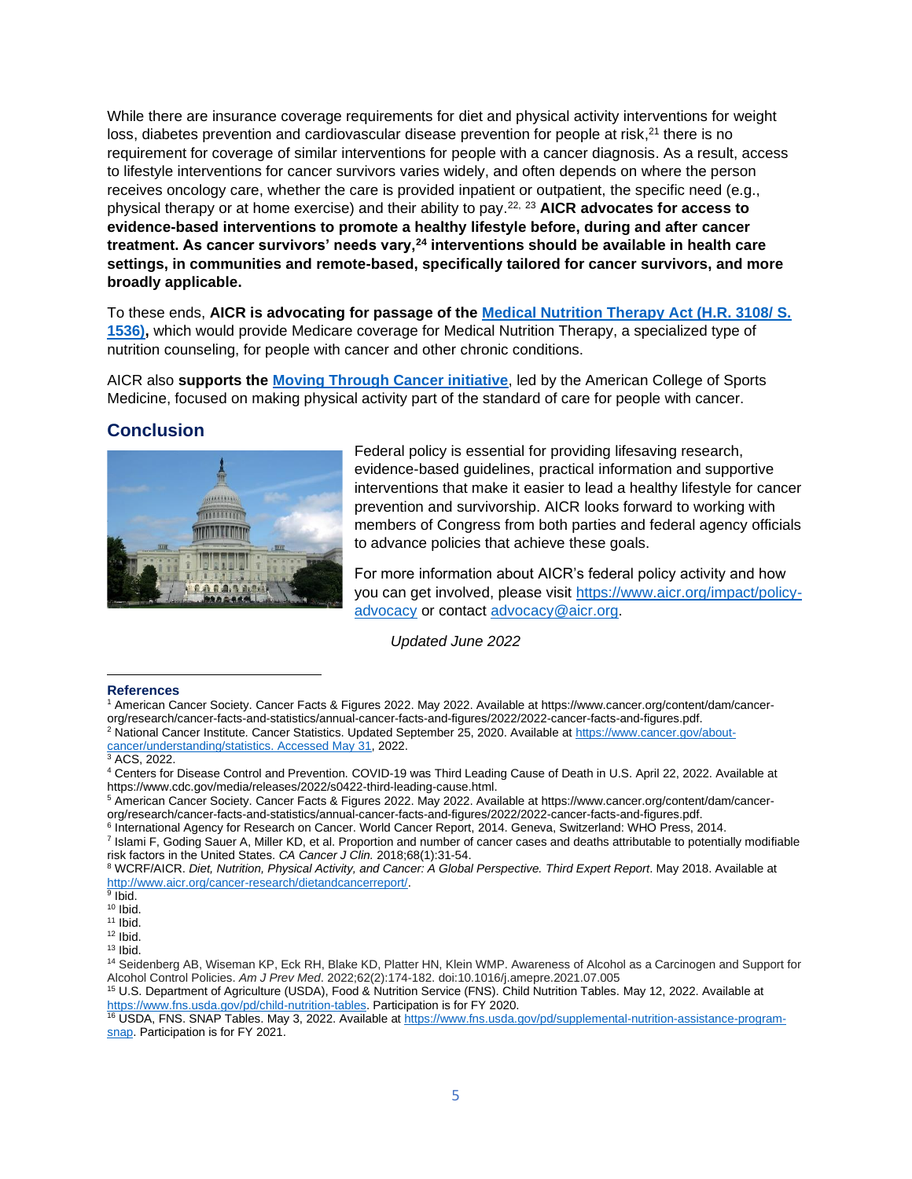While there are insurance coverage requirements for diet and physical activity interventions for weight loss, diabetes prevention and cardiovascular disease prevention for people at risk,<sup>21</sup> there is no requirement for coverage of similar interventions for people with a cancer diagnosis. As a result, access to lifestyle interventions for cancer survivors varies widely, and often depends on where the person receives oncology care, whether the care is provided inpatient or outpatient, the specific need (e.g., physical therapy or at home exercise) and their ability to pay. 22, <sup>23</sup> **AICR advocates for access to evidence-based interventions to promote a healthy lifestyle before, during and after cancer treatment. As cancer survivors' needs vary,<sup>24</sup> interventions should be available in health care settings, in communities and remote-based, specifically tailored for cancer survivors, and more broadly applicable.**

To these ends, **AICR is advocating for passage of the [Medical Nutrition Therapy Act \(H.R. 3108/ S.](https://www.congress.gov/bill/117th-congress/house-bill/3108?q=%7B%22search%22%3A%5B%22medical+nutrition+therapy+act%22%2C%22medical%22%2C%22nutrition%22%2C%22therapy%22%2C%22act%22%5D%7D&s=2&r=2)  [1536\),](https://www.congress.gov/bill/117th-congress/house-bill/3108?q=%7B%22search%22%3A%5B%22medical+nutrition+therapy+act%22%2C%22medical%22%2C%22nutrition%22%2C%22therapy%22%2C%22act%22%5D%7D&s=2&r=2)** which would provide Medicare coverage for Medical Nutrition Therapy, a specialized type of nutrition counseling, for people with cancer and other chronic conditions.

AICR also **supports the [Moving Through Cancer initiative](https://www.exerciseismedicine.org/eim-in-action/moving-through-cancer/)**, led by the American College of Sports Medicine, focused on making physical activity part of the standard of care for people with cancer.

# **Conclusion**



Federal policy is essential for providing lifesaving research, evidence-based guidelines, practical information and supportive interventions that make it easier to lead a healthy lifestyle for cancer prevention and survivorship. AICR looks forward to working with members of Congress from both parties and federal agency officials to advance policies that achieve these goals.

For more information about AICR's federal policy activity and how you can get involved, please visit [https://www.aicr.org/impact/policy](https://www.aicr.org/impact/policy-advocacy)[advocacy](https://www.aicr.org/impact/policy-advocacy) or contact [advocacy@aicr.org.](mailto:advocacy@aicr.org)

*Updated June 2022*

#### **References**

<sup>7</sup> Islami F, Goding Sauer A, Miller KD, et al. Proportion and number of cancer cases and deaths attributable to potentially modifiable risk factors in the United States. *CA Cancer J Clin.* 2018;68(1):31-54.

<sup>14</sup> Seidenberg AB, Wiseman KP, Eck RH, Blake KD, Platter HN, Klein WMP. Awareness of Alcohol as a Carcinogen and Support for Alcohol Control Policies. *Am J Prev Med*. 2022;62(2):174-182. doi:10.1016/j.amepre.2021.07.005

<sup>16</sup> USDA, FNS. SNAP Tables. May 3, 2022. Available a[t https://www.fns.usda.gov/pd/supplemental-nutrition-assistance-program](https://www.fns.usda.gov/pd/supplemental-nutrition-assistance-program-snap)[snap.](https://www.fns.usda.gov/pd/supplemental-nutrition-assistance-program-snap) Participation is for FY 2021.

<sup>1</sup> American Cancer Society. Cancer Facts & Figures 2022. May 2022. Available at https://www.cancer.org/content/dam/cancerorg/research/cancer-facts-and-statistics/annual-cancer-facts-and-figures/2022/2022-cancer-facts-and-figures.pdf.

<sup>2</sup> National Cancer Institute. Cancer Statistics. Updated September 25, 2020. Available a[t https://www.cancer.gov/about](https://www.cancer.gov/about-cancer/understanding/statistics.%20Accessed%20May%2031)[cancer/understanding/statistics. Accessed May 31,](https://www.cancer.gov/about-cancer/understanding/statistics.%20Accessed%20May%2031) 2022.

<sup>&</sup>lt;sup>3</sup> ACS, 2022.

<sup>4</sup> Centers for Disease Control and Prevention. COVID-19 was Third Leading Cause of Death in U.S. April 22, 2022. Available at https://www.cdc.gov/media/releases/2022/s0422-third-leading-cause.html.

<sup>5</sup> American Cancer Society. Cancer Facts & Figures 2022. May 2022. Available at https://www.cancer.org/content/dam/cancerorg/research/cancer-facts-and-statistics/annual-cancer-facts-and-figures/2022/2022-cancer-facts-and-figures.pdf.

<sup>&</sup>lt;sup>6</sup> International Agency for Research on Cancer. World Cancer Report, 2014. Geneva, Switzerland: WHO Press, 2014.

<sup>8</sup> WCRF/AICR. *Diet, Nutrition, Physical Activity, and Cancer: A Global Perspective. Third Expert Report*. May 2018. Available at [http://www.aicr.org/cancer-research/dietandcancerreport/.](http://www.aicr.org/cancer-research/dietandcancerreport/)

<sup>&</sup>lt;sup>9</sup> Ibid.

 $10$  Ibid.

 $11$  Ibid.  $12$  Ibid.

 $13$  Ibid.

<sup>15</sup> U.S. Department of Agriculture (USDA), Food & Nutrition Service (FNS). Child Nutrition Tables. May 12, 2022. Available at [https://www.fns.usda.gov/pd/child-nutrition-tables.](https://www.fns.usda.gov/pd/child-nutrition-tables) Participation is for FY 2020.